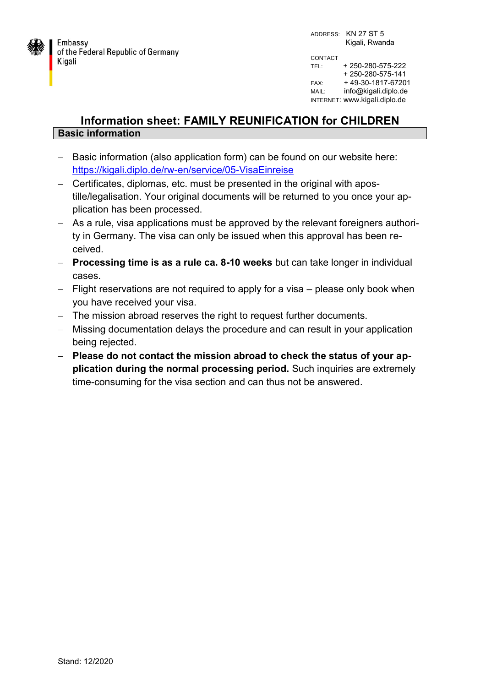

## **Information sheet: FAMILY REUNIFICATION for CHILDREN Basic information**

- Basic information (also application form) can be found on our website here: <https://kigali.diplo.de/rw-en/service/05-VisaEinreise>
- Certificates, diplomas, etc. must be presented in the original with apostille/legalisation. Your original documents will be returned to you once your application has been processed.
- As a rule, visa applications must be approved by the relevant foreigners authority in Germany. The visa can only be issued when this approval has been received.
- **Processing time is as a rule ca. 8-10 weeks** but can take longer in individual cases.
- $-$  Flight reservations are not required to apply for a visa  $-$  please only book when you have received your visa.
- The mission abroad reserves the right to request further documents.
	- Missing documentation delays the procedure and can result in your application being rejected.
	- **Please do not contact the mission abroad to check the status of your application during the normal processing period.** Such inquiries are extremely time-consuming for the visa section and can thus not be answered.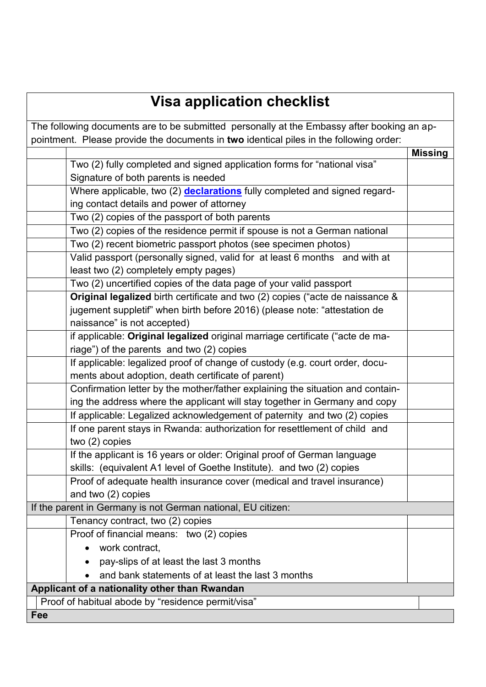## **Visa application checklist**

| pointment. Please provide the documents in two identical piles in the following order:<br><b>Missing</b><br>Two (2) fully completed and signed application forms for "national visa"<br>Signature of both parents is needed<br>Where applicable, two (2) declarations fully completed and signed regard-<br>ing contact details and power of attorney<br>Two (2) copies of the passport of both parents<br>Two (2) copies of the residence permit if spouse is not a German national<br>Two (2) recent biometric passport photos (see specimen photos)<br>Valid passport (personally signed, valid for at least 6 months and with at<br>least two (2) completely empty pages)<br>Two (2) uncertified copies of the data page of your valid passport<br>Original legalized birth certificate and two (2) copies ("acte de naissance &<br>jugement suppletif" when birth before 2016) (please note: "attestation de |
|-------------------------------------------------------------------------------------------------------------------------------------------------------------------------------------------------------------------------------------------------------------------------------------------------------------------------------------------------------------------------------------------------------------------------------------------------------------------------------------------------------------------------------------------------------------------------------------------------------------------------------------------------------------------------------------------------------------------------------------------------------------------------------------------------------------------------------------------------------------------------------------------------------------------|
|                                                                                                                                                                                                                                                                                                                                                                                                                                                                                                                                                                                                                                                                                                                                                                                                                                                                                                                   |
|                                                                                                                                                                                                                                                                                                                                                                                                                                                                                                                                                                                                                                                                                                                                                                                                                                                                                                                   |
|                                                                                                                                                                                                                                                                                                                                                                                                                                                                                                                                                                                                                                                                                                                                                                                                                                                                                                                   |
|                                                                                                                                                                                                                                                                                                                                                                                                                                                                                                                                                                                                                                                                                                                                                                                                                                                                                                                   |
|                                                                                                                                                                                                                                                                                                                                                                                                                                                                                                                                                                                                                                                                                                                                                                                                                                                                                                                   |
|                                                                                                                                                                                                                                                                                                                                                                                                                                                                                                                                                                                                                                                                                                                                                                                                                                                                                                                   |
|                                                                                                                                                                                                                                                                                                                                                                                                                                                                                                                                                                                                                                                                                                                                                                                                                                                                                                                   |
|                                                                                                                                                                                                                                                                                                                                                                                                                                                                                                                                                                                                                                                                                                                                                                                                                                                                                                                   |
|                                                                                                                                                                                                                                                                                                                                                                                                                                                                                                                                                                                                                                                                                                                                                                                                                                                                                                                   |
|                                                                                                                                                                                                                                                                                                                                                                                                                                                                                                                                                                                                                                                                                                                                                                                                                                                                                                                   |
|                                                                                                                                                                                                                                                                                                                                                                                                                                                                                                                                                                                                                                                                                                                                                                                                                                                                                                                   |
|                                                                                                                                                                                                                                                                                                                                                                                                                                                                                                                                                                                                                                                                                                                                                                                                                                                                                                                   |
|                                                                                                                                                                                                                                                                                                                                                                                                                                                                                                                                                                                                                                                                                                                                                                                                                                                                                                                   |
|                                                                                                                                                                                                                                                                                                                                                                                                                                                                                                                                                                                                                                                                                                                                                                                                                                                                                                                   |
| naissance" is not accepted)                                                                                                                                                                                                                                                                                                                                                                                                                                                                                                                                                                                                                                                                                                                                                                                                                                                                                       |
| if applicable: Original legalized original marriage certificate ("acte de ma-                                                                                                                                                                                                                                                                                                                                                                                                                                                                                                                                                                                                                                                                                                                                                                                                                                     |
| riage") of the parents and two (2) copies                                                                                                                                                                                                                                                                                                                                                                                                                                                                                                                                                                                                                                                                                                                                                                                                                                                                         |
| If applicable: legalized proof of change of custody (e.g. court order, docu-                                                                                                                                                                                                                                                                                                                                                                                                                                                                                                                                                                                                                                                                                                                                                                                                                                      |
| ments about adoption, death certificate of parent)                                                                                                                                                                                                                                                                                                                                                                                                                                                                                                                                                                                                                                                                                                                                                                                                                                                                |
| Confirmation letter by the mother/father explaining the situation and contain-                                                                                                                                                                                                                                                                                                                                                                                                                                                                                                                                                                                                                                                                                                                                                                                                                                    |
| ing the address where the applicant will stay together in Germany and copy                                                                                                                                                                                                                                                                                                                                                                                                                                                                                                                                                                                                                                                                                                                                                                                                                                        |
| If applicable: Legalized acknowledgement of paternity and two (2) copies                                                                                                                                                                                                                                                                                                                                                                                                                                                                                                                                                                                                                                                                                                                                                                                                                                          |
| If one parent stays in Rwanda: authorization for resettlement of child and                                                                                                                                                                                                                                                                                                                                                                                                                                                                                                                                                                                                                                                                                                                                                                                                                                        |
| two $(2)$ copies                                                                                                                                                                                                                                                                                                                                                                                                                                                                                                                                                                                                                                                                                                                                                                                                                                                                                                  |
| If the applicant is 16 years or older: Original proof of German language                                                                                                                                                                                                                                                                                                                                                                                                                                                                                                                                                                                                                                                                                                                                                                                                                                          |
| skills: (equivalent A1 level of Goethe Institute). and two (2) copies                                                                                                                                                                                                                                                                                                                                                                                                                                                                                                                                                                                                                                                                                                                                                                                                                                             |
| Proof of adequate health insurance cover (medical and travel insurance)                                                                                                                                                                                                                                                                                                                                                                                                                                                                                                                                                                                                                                                                                                                                                                                                                                           |
| and two (2) copies                                                                                                                                                                                                                                                                                                                                                                                                                                                                                                                                                                                                                                                                                                                                                                                                                                                                                                |
| If the parent in Germany is not German national, EU citizen:                                                                                                                                                                                                                                                                                                                                                                                                                                                                                                                                                                                                                                                                                                                                                                                                                                                      |
| Tenancy contract, two (2) copies                                                                                                                                                                                                                                                                                                                                                                                                                                                                                                                                                                                                                                                                                                                                                                                                                                                                                  |
| Proof of financial means: two (2) copies                                                                                                                                                                                                                                                                                                                                                                                                                                                                                                                                                                                                                                                                                                                                                                                                                                                                          |
| work contract,                                                                                                                                                                                                                                                                                                                                                                                                                                                                                                                                                                                                                                                                                                                                                                                                                                                                                                    |
| pay-slips of at least the last 3 months                                                                                                                                                                                                                                                                                                                                                                                                                                                                                                                                                                                                                                                                                                                                                                                                                                                                           |
| and bank statements of at least the last 3 months                                                                                                                                                                                                                                                                                                                                                                                                                                                                                                                                                                                                                                                                                                                                                                                                                                                                 |
| Applicant of a nationality other than Rwandan                                                                                                                                                                                                                                                                                                                                                                                                                                                                                                                                                                                                                                                                                                                                                                                                                                                                     |
| Proof of habitual abode by "residence permit/visa"                                                                                                                                                                                                                                                                                                                                                                                                                                                                                                                                                                                                                                                                                                                                                                                                                                                                |
| Fee                                                                                                                                                                                                                                                                                                                                                                                                                                                                                                                                                                                                                                                                                                                                                                                                                                                                                                               |